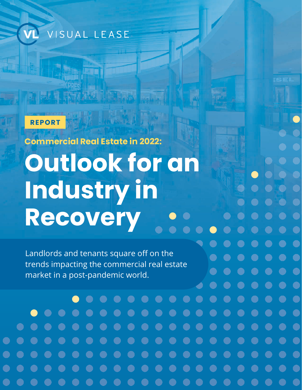VISUAL LEASE

### **REPORT**

**Commercial Real Estate in 2022:** 

**Outlook for an Industry in Recovery**

Landlords and tenants square off on the trends impacting the commercial real estate market in a post-pandemic world.

(n. 1

e e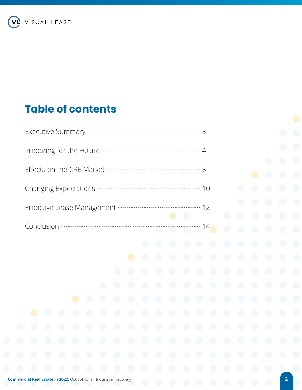**VL** VISUAL LEASE

# **Table of contents**

| Changing Expectations <b>- 2008</b> - 2008 - 2009 - 2008 - 2008 - 2009 - 2008 - 2009 - 2008 - 2008 - 2009 - 2008 - 2008 - 2008 - 2008 - 2008 - 2008 - 2008 - 2008 - 2008 - 2008 - 2008 - 2008 - 2008 - 2008 - 2008 - 2008 - 2008 - |            |            |            |            |            |            |            |            |            |            |            |            |            |            |  |
|------------------------------------------------------------------------------------------------------------------------------------------------------------------------------------------------------------------------------------|------------|------------|------------|------------|------------|------------|------------|------------|------------|------------|------------|------------|------------|------------|--|
| Proactive Lease Management - 2008 12<br>$\bullet$<br>$\bigodot$                                                                                                                                                                    |            |            |            |            |            |            |            |            |            |            |            |            | $\bigodot$ |            |  |
| $Conclusion$ $14$                                                                                                                                                                                                                  |            |            |            |            |            |            |            |            |            |            |            |            | $\bigodot$ |            |  |
|                                                                                                                                                                                                                                    |            |            |            |            |            |            |            | $\bigodot$ | $\bigodot$ | $\bigodot$ | $\bigodot$ | $\bigodot$ | $\bigodot$ | $\bigodot$ |  |
|                                                                                                                                                                                                                                    |            |            |            |            |            |            | $\bullet$  | $\bigodot$ | $\bigodot$ | $\bigodot$ | $\bigodot$ | $\bigodot$ | $\bigodot$ | $\bigodot$ |  |
|                                                                                                                                                                                                                                    |            |            |            |            |            | $\bigodot$ | $\bigodot$ | $\bigodot$ | $\bigodot$ | $\bigodot$ | $\bigodot$ | $\bigodot$ | $\bigodot$ | $\bigodot$ |  |
|                                                                                                                                                                                                                                    |            |            |            |            | $\bigodot$ | $\bigodot$ | $\bigodot$ | $\bigodot$ | $\bigodot$ | $\bigodot$ | $\bigodot$ | $\bigodot$ | $\bigodot$ | $\bigodot$ |  |
|                                                                                                                                                                                                                                    |            |            | $\bullet$  | $\bigodot$ | $\bigodot$ | $\bigodot$ | $\bigodot$ | $\bigodot$ | $\bigodot$ | $\bigodot$ | $\bigodot$ | $\bigodot$ | $\bigodot$ | $\bigodot$ |  |
| $\Box$                                                                                                                                                                                                                             | $\bigodot$ | $\bigodot$ | $\bigodot$ | $\bigodot$ | $\bigodot$ | $\bigodot$ | $\bigodot$ | $\bigodot$ | $\bigodot$ | $\bigodot$ | $\bigodot$ | $\bigodot$ | $\bigodot$ | $\bigodot$ |  |
| $\bigodot$                                                                                                                                                                                                                         | $\bigodot$ | $\bigodot$ | $\bigodot$ | $\bigodot$ | $\bigodot$ | $\bigodot$ | $\bigodot$ | $\bigodot$ | $\bigodot$ | $\bigodot$ | $\bigodot$ | $\bigodot$ | $\bigodot$ | $\bigodot$ |  |
| $\bigodot$                                                                                                                                                                                                                         | $\bigodot$ | $\bigodot$ | $\bigodot$ | $\bigodot$ | $\bigodot$ | $\bigodot$ | $\bigodot$ | $\bigodot$ | $\bigodot$ | $\bigodot$ | $\bigodot$ | $\bigodot$ | $\bigodot$ | $\bigodot$ |  |
| $\bigodot$                                                                                                                                                                                                                         | $\bigodot$ | $\bigodot$ | $\bigodot$ | $\bigodot$ | $\bigodot$ | $\bigodot$ | $\bigodot$ | $\bigodot$ | $\bigodot$ | $\bigodot$ | $\bigodot$ | $\bigodot$ | $\bigodot$ | $\bigodot$ |  |
| $\bigodot$                                                                                                                                                                                                                         | $\bigodot$ | $\bigodot$ | $\bigodot$ | $\bigodot$ | $\bigodot$ | $\bigodot$ | $\bigodot$ | $\bigodot$ | $\bigodot$ | $\bigodot$ | $\bigodot$ | $\bigodot$ | $\bigodot$ | $\bigodot$ |  |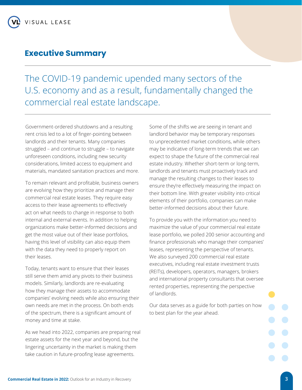# **Executive Summary**

The COVID-19 pandemic upended many sectors of the U.S. economy and as a result, fundamentally changed the commercial real estate landscape.

Government-ordered shutdowns and a resulting rent crisis led to a lot of finger-pointing between landlords and their tenants. Many companies struggled – and continue to struggle – to navigate unforeseen conditions, including new security considerations, limited access to equipment and materials, mandated sanitation practices and more.

To remain relevant and profitable, business owners are evolving how they prioritize and manage their commercial real estate leases. They require easy access to their lease agreements to effectively act on what needs to change in response to both internal and external events. In addition to helping organizations make better-informed decisions and get the most value out of their lease portfolios, having this level of visibility can also equip them with the data they need to properly report on their leases.

Today, tenants want to ensure that their leases still serve them amid any pivots to their business models. Similarly, landlords are re-evaluating how they manage their assets to accommodate companies' evolving needs while also ensuring their own needs are met in the process. On both ends of the spectrum, there is a significant amount of money and time at stake.

As we head into 2022, companies are preparing real estate assets for the next year and beyond, but the lingering uncertainty in the market is making them take caution in future-proofing lease agreements.

Some of the shifts we are seeing in tenant and landlord behavior may be temporary responses to unprecedented market conditions, while others may be indicative of long-term trends that we can expect to shape the future of the commercial real estate industry. Whether short-term or long-term, landlords and tenants must proactively track and manage the resulting changes to their leases to ensure they're effectively measuring the impact on their bottom line. With greater visibility into critical elements of their portfolio, companies can make better-informed decisions about their future.

To provide you with the information you need to maximize the value of your commercial real estate lease portfolio, we polled 200 senior accounting and finance professionals who manage their companies' leases, representing the perspective of tenants. We also surveyed 200 commercial real estate executives, including real estate investment trusts (REITs), developers, operators, managers, brokers and international property consultants that oversee rented properties, representing the perspective of landlords.

Our data serves as a guide for both parties on how to best plan for the year ahead.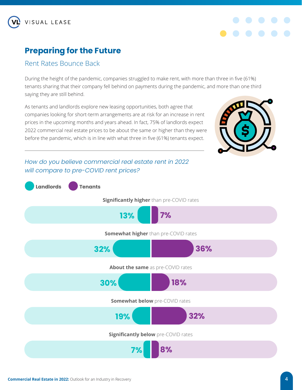

# **Preparing for the Future**

### Rent Rates Bounce Back

During the height of the pandemic, companies struggled to make rent, with more than three in five (61%) tenants sharing that their company fell behind on payments during the pandemic, and more than one third saying they are still behind.

As tenants and landlords explore new leasing opportunities, both agree that companies looking for short-term arrangements are at risk for an increase in rent prices in the upcoming months and years ahead. In fact, 75% of landlords expect 2022 commercial real estate prices to be about the same or higher than they were before the pandemic, which is in line with what three in five (61%) tenants expect.



### *How do you believe commercial real estate rent in 2022 will compare to pre-COVID rent prices?*

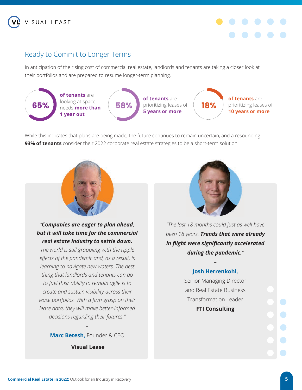



## Ready to Commit to Longer Terms

In anticipation of the rising cost of commercial real estate, landlords and tenants are taking a closer look at their portfolios and are prepared to resume longer-term planning.



While this indicates that plans are being made, the future continues to remain uncertain, and a resounding **93% of tenants** consider their 2022 corporate real estate strategies to be a short-term solution.



*"Companies are eager to plan ahead, but it will take time for the commercial real estate industry to settle down.*

*The world is still grappling with the ripple effects of the pandemic and, as a result, is learning to navigate new waters. The best thing that landlords and tenants can do to fuel their ability to remain agile is to create and sustain visibility across their lease portfolios. With a firm grasp on their lease data, they will make better-informed decisions regarding their futures."*

> *–* **Marc Betesh,** Founder & CEO

> > **Visual Lease**



*"The last 18 months could just as well have been 18 years. Trends that were already in flight were significantly accelerated during the pandemic."* 

### *–* **Josh Herrenkohl,**

Senior Managing Director and Real Estate Business Transformation Leader **FTI Consulting**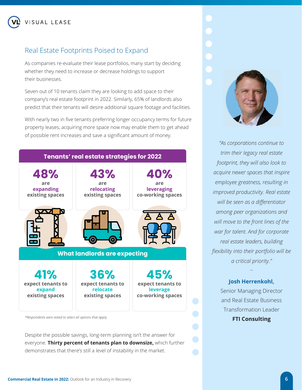## Real Estate Footprints Poised to Expand

As companies re-evaluate their lease portfolios, many start by deciding whether they need to increase or decrease holdings to support their businesses.

Seven out of 10 tenants claim they are looking to add space to their company's real estate footprint in 2022. Similarly, 65% of landlords also predict that their tenants will desire additional square footage and facilities.

With nearly two in five tenants preferring longer occupancy terms for future property leases, acquiring more space now may enable them to get ahead of possible rent increases and save a significant amount of money.



Despite the possible savings, long-term planning isn't the answer for everyone. **Thirty percent of tenants plan to downsize,** which further demonstrates that there's still a level of instability in the market.



*"As corporations continue to trim their legacy real estate footprint, they will also look to acquire newer spaces that inspire employee greatness, resulting in improved productivity. Real estate will be seen as a differentiator among peer organizations and will move to the front lines of the war for talent. And for corporate real estate leaders, building flexibility into their portfolio will be a critical priority."* 

### **Josh Herrenkohl,**

–

Senior Managing Director and Real Estate Business Transformation Leader **FTI Consulting**

### **Commercial Real Estate in 2022:** Outlook for an Industry in Recovery **6**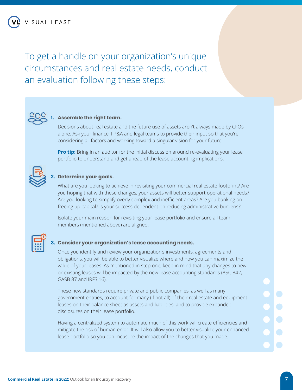To get a handle on your organization's unique circumstances and real estate needs, conduct an evaluation following these steps:



### **1. Assemble the right team.**

 Decisions about real estate and the future use of assets aren't always made by CFOs alone. Ask your finance, FP&A and legal teams to provide their input so that you're considering all factors and working toward a singular vision for your future.

**Pro tip:** Bring in an auditor for the initial discussion around re-evaluating your lease portfolio to understand and get ahead of the lease accounting implications.



### **2. Determine your goals.**

What are you looking to achieve in revisiting your commercial real estate footprint? Are you hoping that with these changes, your assets will better support operational needs? Are you looking to simplify overly complex and inefficient areas? Are you banking on freeing up capital? Is your success dependent on reducing administrative burdens?

 Isolate your main reason for revisiting your lease portfolio and ensure all team members (mentioned above) are aligned.



### **3. Consider your organization's lease accounting needs.**

 Once you identify and review your organization's investments, agreements and obligations, you will be able to better visualize where and how you can maximize the value of your leases. As mentioned in step one, keep in mind that any changes to new or existing leases will be impacted by the new lease accounting standards (ASC 842, GASB 87 and IRFS 16).

 These new standards require private and public companies, as well as many government entities, to account for many (if not all) of their real estate and equipment leases on their balance sheet as assets and liabilities, and to provide expanded disclosures on their lease portfolio.

 Having a centralized system to automate much of this work will create efficiencies and mitigate the risk of human error. It will also allow you to better visualize your enhanced lease portfolio so you can measure the impact of the changes that you made.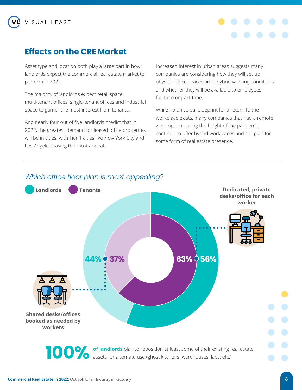# **Effects on the CRE Market**

Asset type and location both play a large part in how landlords expect the commercial real estate market to perform in 2022.

The majority of landlords expect retail space, multi-tenant offices, single-tenant offices and industrial space to garner the most interest from tenants.

And nearly four out of five landlords predict that in 2022, the greatest demand for leased office properties will be in cities, with Tier 1 cities like New York City and Los Angeles having the most appeal.

Increased interest in urban areas suggests many companies are considering how they will set up physical office spaces amid hybrid working conditions and whether they will be available to employees full-time or part-time.

While no universal blueprint for a return to the workplace exists, many companies that had a remote work option during the height of the pandemic continue to offer hybrid workplaces and still plan for some form of real estate presence.



### *Which office floor plan is most appealing?*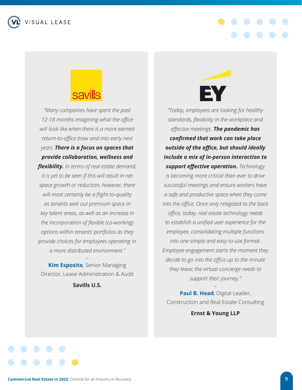**ISUAL LEASE** 



*"Many companies have spent the past 12-18 months imagining what the office will look like when there is a more earnest return-to-office (now and into early next year). There is a focus on spaces that provide collaboration, wellness and flexibility. In terms of real estate demand, it is yet to be seen if this will result in net space growth or reduction, however, there will most certainly be a flight-to-quality as tenants seek out premium space in key talent areas, as well as an increase in the incorporation of flexible (co-working) options within tenants' portfolios as they provide choices for employees operating in a more distributed environment."* 

**Kim Esposito**, Senior Managing Director, Lease Administration & Audit

*–*

**Savills U.S.**

*"Today, employees are looking for healthy standards, flexibility in the workplace and effective meetings. The pandemic has confirmed that work can take place outside of the office, but should ideally include a mix of in-person interaction to support effective operation. Technology is becoming more critical than ever to drive successful meetings and ensure workers have a safe and productive space when they come into the office. Once only relegated to the back office, today, real estate technology needs to establish a unified user experience for the employee, consolidating multiple functions into one simple and easy-to-use format. Employee engagement starts the moment they decide to go into the office up to the minute they leave; the virtual concierge needs to support their journey."* 

**Paul B. Head**, Digital Leader, Construction and Real Estate Consulting

*–*

**Ernst & Young LLP**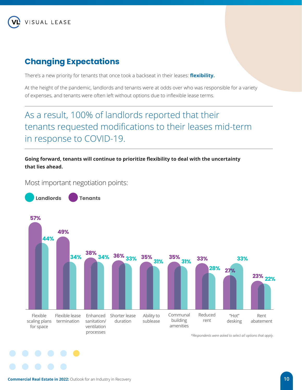

# **Changing Expectations**

There's a new priority for tenants that once took a backseat in their leases: **flexibility.**

At the height of the pandemic, landlords and tenants were at odds over who was responsible for a variety of expenses, and tenants were often left without options due to inflexible lease terms.

# As a result, 100% of landlords reported that their tenants requested modifications to their leases mid-term in response to COVID-19.

**Going forward, tenants will continue to prioritize flexibility to deal with the uncertainty that lies ahead.** 

Most important negotiation points:



*\*Respondents were asked to select all options that apply.*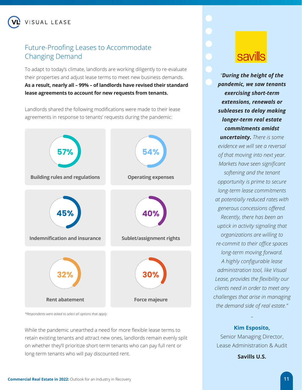## Future-Proofing Leases to Accommodate Changing Demand

To adapt to today's climate, landlords are working diligently to re-evaluate their properties and adjust lease terms to meet new business demands. **As a result, nearly all – 99% – of landlords have revised their standard lease agreements to account for new requests from tenants.** 

Landlords shared the following modifications were made to their lease agreements in response to tenants' requests during the pandemic:



*\*Respondents were asked to select all options that apply.*

While the pandemic unearthed a need for more flexible lease terms to retain existing tenants and attract new ones, landlords remain evenly split on whether they'll prioritize short-term tenants who can pay full rent or long-term tenants who will pay discounted rent.

# savills

*"During the height of the pandemic, we saw tenants exercising short-term extensions, renewals or subleases to delay making longer-term real estate commitments amidst uncertainty. There is some evidence we will see a reversal of that moving into next year. Markets have seen significant softening and the tenant opportunity is prime to secure long-term lease commitments at potentially reduced rates with generous concessions offered. Recently, there has been an uptick in activity signaling that organizations are willing to re-commit to their office spaces long-term moving forward. A highly configurable lease administration tool, like Visual Lease, provides the flexibility our clients need in order to meet any challenges that arise in managing the demand side of real estate."* 

**Kim Esposito,**

*–*

Senior Managing Director, Lease Administration & Audit

**Savills U.S.**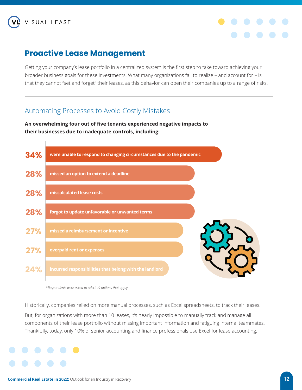



# **Proactive Lease Management**

Getting your company's lease portfolio in a centralized system is the first step to take toward achieving your broader business goals for these investments. What many organizations fail to realize – and account for – is that they cannot "set and forget" their leases, as this behavior can open their companies up to a range of risks.

### Automating Processes to Avoid Costly Mistakes

**An overwhelming four out of five tenants experienced negative impacts to their businesses due to inadequate controls, including:** 



*\*Respondents were asked to select all options that apply.*

Historically, companies relied on more manual processes, such as Excel spreadsheets, to track their leases.

But, for organizations with more than 10 leases, it's nearly impossible to manually track and manage all components of their lease portfolio without missing important information and fatiguing internal teammates. Thankfully, today, only 10% of senior accounting and finance professionals use Excel for lease accounting.

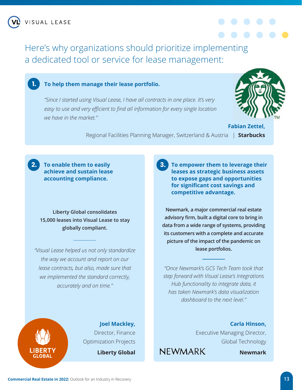Here's why organizations should prioritize implementing a dedicated tool or service for lease management:



### **To help them manage their lease portfolio.**

*"Since I started using Visual Lease, I have all contracts in one place. It's very*  easy to use and very efficient to find all information for every single location *we have in the market."* 



**Fabian Zettel,** Regional Facilities Planning Manager, Switzerland & Austria | **Starbucks**

**To enable them to easily 2. 3. achieve and sustain lease accounting compliance.**

**Liberty Global consolidates 15,000 leases into Visual Lease to stay globally compliant.**

*"Visual Lease helped us not only standardize the way we account and report on our lease contracts, but also, made sure that we implemented the standard correctly, accurately and on time."* 

**To empower them to leverage their leases as strategic business assets to expose gaps and opportunities for significant cost savings and competitive advantage.** 

**Newmark, a major commercial real estate advisory firm, built a digital core to bring in data from a wide range of systems, providing its customers with a complete and accurate picture of the impact of the pandemic on lease portfolios.**

*"Once Newmark's GCS Tech Team took that step forward with Visual Lease's Integrations Hub functionality to integrate data, it has taken Newmark's data visualization dashboard to the next level."*



**Joel Mackley,** Director, Finance Optimization Projects **Liberty Global**

**Carla Hinson,**

Executive Managing Director, Global Technology

**NEWMARK** 

**Newmark**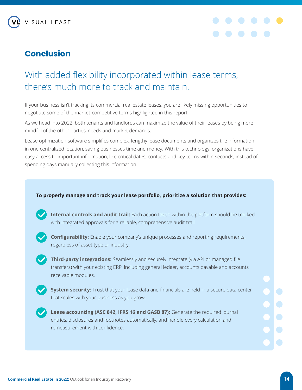

# **Conclusion**



# With added flexibility incorporated within lease terms, there's much more to track and maintain.

If your business isn't tracking its commercial real estate leases, you are likely missing opportunities to negotiate some of the market-competitive terms highlighted in this report.

As we head into 2022, both tenants and landlords can maximize the value of their leases by being more mindful of the other parties' needs and market demands.

Lease optimization software simplifies complex, lengthy lease documents and organizes the information in one centralized location, saving businesses time and money. With this technology, organizations have easy access to important information, like critical dates, contacts and key terms within seconds, instead of spending days manually collecting this information.

### **To properly manage and track your lease portfolio, prioritize a solution that provides:**



**Internal controls and audit trail:** Each action taken within the platform should be tracked with integrated approvals for a reliable, comprehensive audit trail.



**Configurability:** Enable your company's unique processes and reporting requirements, regardless of asset type or industry.

**Third-party integrations:** Seamlessly and securely integrate (via API or managed file transfers) with your existing ERP, including general ledger, accounts payable and accounts receivable modules.



**System security:** Trust that your lease data and financials are held in a secure data center that scales with your business as you grow.



**Lease accounting (ASC 842, IFRS 16 and GASB 87):** Generate the required journal entries, disclosures and footnotes automatically, and handle every calculation and remeasurement with confidence.